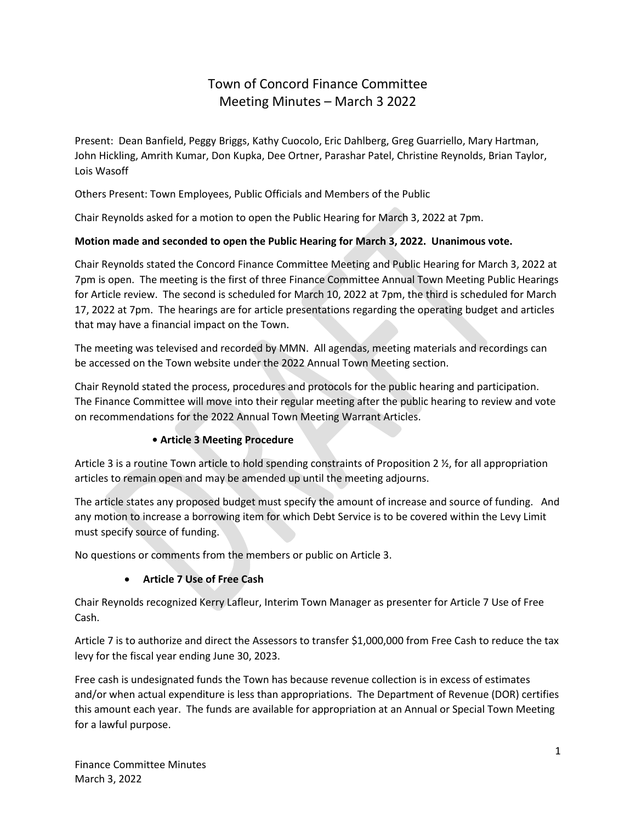# Town of Concord Finance Committee Meeting Minutes – March 3 2022

Present: Dean Banfield, Peggy Briggs, Kathy Cuocolo, Eric Dahlberg, Greg Guarriello, Mary Hartman, John Hickling, Amrith Kumar, Don Kupka, Dee Ortner, Parashar Patel, Christine Reynolds, Brian Taylor, Lois Wasoff

Others Present: Town Employees, Public Officials and Members of the Public

Chair Reynolds asked for a motion to open the Public Hearing for March 3, 2022 at 7pm.

#### **Motion made and seconded to open the Public Hearing for March 3, 2022. Unanimous vote.**

Chair Reynolds stated the Concord Finance Committee Meeting and Public Hearing for March 3, 2022 at 7pm is open. The meeting is the first of three Finance Committee Annual Town Meeting Public Hearings for Article review. The second is scheduled for March 10, 2022 at 7pm, the third is scheduled for March 17, 2022 at 7pm. The hearings are for article presentations regarding the operating budget and articles that may have a financial impact on the Town.

The meeting was televised and recorded by MMN. All agendas, meeting materials and recordings can be accessed on the Town website under the 2022 Annual Town Meeting section.

Chair Reynold stated the process, procedures and protocols for the public hearing and participation. The Finance Committee will move into their regular meeting after the public hearing to review and vote on recommendations for the 2022 Annual Town Meeting Warrant Articles.

## **• Article 3 Meeting Procedure**

Article 3 is a routine Town article to hold spending constraints of Proposition 2 ½, for all appropriation articles to remain open and may be amended up until the meeting adjourns.

The article states any proposed budget must specify the amount of increase and source of funding. And any motion to increase a borrowing item for which Debt Service is to be covered within the Levy Limit must specify source of funding.

No questions or comments from the members or public on Article 3.

## • **Article 7 Use of Free Cash**

Chair Reynolds recognized Kerry Lafleur, Interim Town Manager as presenter for Article 7 Use of Free Cash.

Article 7 is to authorize and direct the Assessors to transfer \$1,000,000 from Free Cash to reduce the tax levy for the fiscal year ending June 30, 2023.

Free cash is undesignated funds the Town has because revenue collection is in excess of estimates and/or when actual expenditure is less than appropriations. The Department of Revenue (DOR) certifies this amount each year. The funds are available for appropriation at an Annual or Special Town Meeting for a lawful purpose.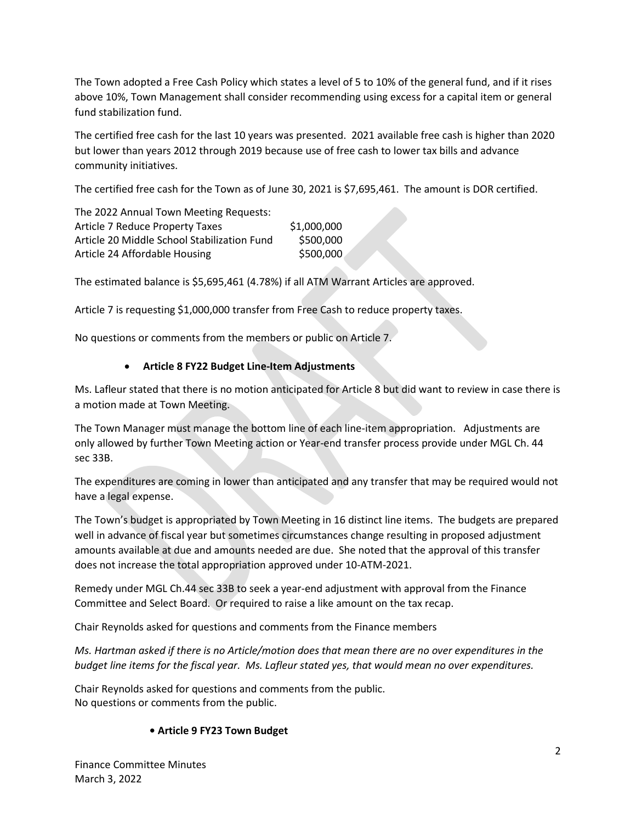The Town adopted a Free Cash Policy which states a level of 5 to 10% of the general fund, and if it rises above 10%, Town Management shall consider recommending using excess for a capital item or general fund stabilization fund.

The certified free cash for the last 10 years was presented. 2021 available free cash is higher than 2020 but lower than years 2012 through 2019 because use of free cash to lower tax bills and advance community initiatives.

The certified free cash for the Town as of June 30, 2021 is \$7,695,461. The amount is DOR certified.

| The 2022 Annual Town Meeting Requests:      |             |
|---------------------------------------------|-------------|
| Article 7 Reduce Property Taxes             | \$1,000,000 |
| Article 20 Middle School Stabilization Fund | \$500,000   |
| Article 24 Affordable Housing               | \$500,000   |

The estimated balance is \$5,695,461 (4.78%) if all ATM Warrant Articles are approved.

Article 7 is requesting \$1,000,000 transfer from Free Cash to reduce property taxes.

No questions or comments from the members or public on Article 7.

#### • **Article 8 FY22 Budget Line-Item Adjustments**

Ms. Lafleur stated that there is no motion anticipated for Article 8 but did want to review in case there is a motion made at Town Meeting.

The Town Manager must manage the bottom line of each line-item appropriation. Adjustments are only allowed by further Town Meeting action or Year-end transfer process provide under MGL Ch. 44 sec 33B.

The expenditures are coming in lower than anticipated and any transfer that may be required would not have a legal expense.

The Town's budget is appropriated by Town Meeting in 16 distinct line items. The budgets are prepared well in advance of fiscal year but sometimes circumstances change resulting in proposed adjustment amounts available at due and amounts needed are due. She noted that the approval of this transfer does not increase the total appropriation approved under 10-ATM-2021.

Remedy under MGL Ch.44 sec 33B to seek a year-end adjustment with approval from the Finance Committee and Select Board. Or required to raise a like amount on the tax recap.

Chair Reynolds asked for questions and comments from the Finance members

*Ms. Hartman asked if there is no Article/motion does that mean there are no over expenditures in the budget line items for the fiscal year. Ms. Lafleur stated yes, that would mean no over expenditures.*

Chair Reynolds asked for questions and comments from the public. No questions or comments from the public.

#### **• Article 9 FY23 Town Budget**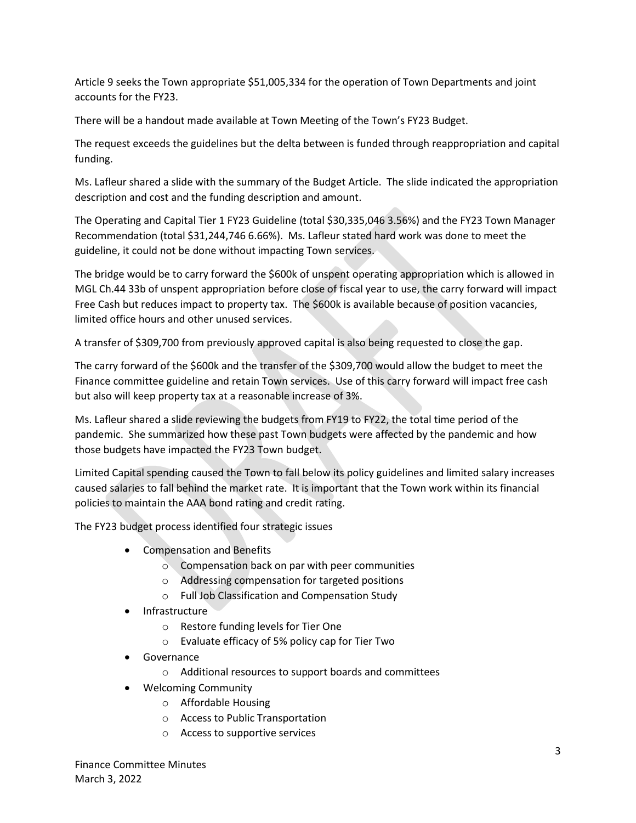Article 9 seeks the Town appropriate \$51,005,334 for the operation of Town Departments and joint accounts for the FY23.

There will be a handout made available at Town Meeting of the Town's FY23 Budget.

The request exceeds the guidelines but the delta between is funded through reappropriation and capital funding.

Ms. Lafleur shared a slide with the summary of the Budget Article. The slide indicated the appropriation description and cost and the funding description and amount.

The Operating and Capital Tier 1 FY23 Guideline (total \$30,335,046 3.56%) and the FY23 Town Manager Recommendation (total \$31,244,746 6.66%). Ms. Lafleur stated hard work was done to meet the guideline, it could not be done without impacting Town services.

The bridge would be to carry forward the \$600k of unspent operating appropriation which is allowed in MGL Ch.44 33b of unspent appropriation before close of fiscal year to use, the carry forward will impact Free Cash but reduces impact to property tax. The \$600k is available because of position vacancies, limited office hours and other unused services.

A transfer of \$309,700 from previously approved capital is also being requested to close the gap.

The carry forward of the \$600k and the transfer of the \$309,700 would allow the budget to meet the Finance committee guideline and retain Town services. Use of this carry forward will impact free cash but also will keep property tax at a reasonable increase of 3%.

Ms. Lafleur shared a slide reviewing the budgets from FY19 to FY22, the total time period of the pandemic. She summarized how these past Town budgets were affected by the pandemic and how those budgets have impacted the FY23 Town budget.

Limited Capital spending caused the Town to fall below its policy guidelines and limited salary increases caused salaries to fall behind the market rate. It is important that the Town work within its financial policies to maintain the AAA bond rating and credit rating.

The FY23 budget process identified four strategic issues

- Compensation and Benefits
	- o Compensation back on par with peer communities
	- o Addressing compensation for targeted positions
	- o Full Job Classification and Compensation Study
- Infrastructure
	- o Restore funding levels for Tier One
	- o Evaluate efficacy of 5% policy cap for Tier Two
- Governance
	- o Additional resources to support boards and committees
- Welcoming Community
	- o Affordable Housing
	- o Access to Public Transportation
	- o Access to supportive services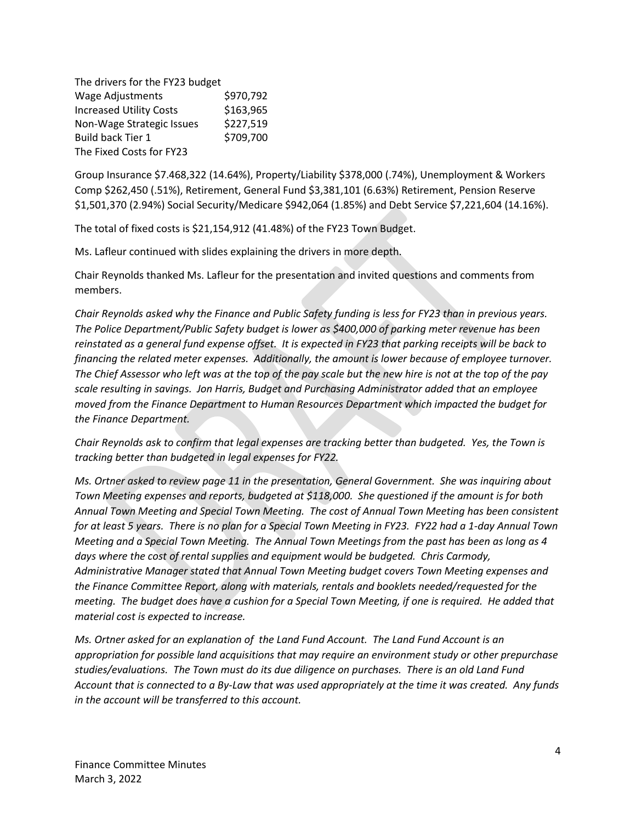The drivers for the FY23 budget Wage Adjustments \$970,792 Increased Utility Costs \$163,965 Non-Wage Strategic Issues \$227,519 Build back Tier 1 \$709,700 The Fixed Costs for FY23

Group Insurance \$7.468,322 (14.64%), Property/Liability \$378,000 (.74%), Unemployment & Workers Comp \$262,450 (.51%), Retirement, General Fund \$3,381,101 (6.63%) Retirement, Pension Reserve \$1,501,370 (2.94%) Social Security/Medicare \$942,064 (1.85%) and Debt Service \$7,221,604 (14.16%).

The total of fixed costs is \$21,154,912 (41.48%) of the FY23 Town Budget.

Ms. Lafleur continued with slides explaining the drivers in more depth.

Chair Reynolds thanked Ms. Lafleur for the presentation and invited questions and comments from members.

*Chair Reynolds asked why the Finance and Public Safety funding is less for FY23 than in previous years. The Police Department/Public Safety budget is lower as \$400,000 of parking meter revenue has been reinstated as a general fund expense offset. It is expected in FY23 that parking receipts will be back to financing the related meter expenses. Additionally, the amount is lower because of employee turnover. The Chief Assessor who left was at the top of the pay scale but the new hire is not at the top of the pay scale resulting in savings. Jon Harris, Budget and Purchasing Administrator added that an employee moved from the Finance Department to Human Resources Department which impacted the budget for the Finance Department.*

*Chair Reynolds ask to confirm that legal expenses are tracking better than budgeted. Yes, the Town is tracking better than budgeted in legal expenses for FY22.*

*Ms. Ortner asked to review page 11 in the presentation, General Government. She was inquiring about Town Meeting expenses and reports, budgeted at \$118,000. She questioned if the amount is for both Annual Town Meeting and Special Town Meeting. The cost of Annual Town Meeting has been consistent for at least 5 years. There is no plan for a Special Town Meeting in FY23. FY22 had a 1-day Annual Town Meeting and a Special Town Meeting. The Annual Town Meetings from the past has been as long as 4 days where the cost of rental supplies and equipment would be budgeted. Chris Carmody, Administrative Manager stated that Annual Town Meeting budget covers Town Meeting expenses and the Finance Committee Report, along with materials, rentals and booklets needed/requested for the meeting. The budget does have a cushion for a Special Town Meeting, if one is required. He added that material cost is expected to increase.*

*Ms. Ortner asked for an explanation of the Land Fund Account. The Land Fund Account is an appropriation for possible land acquisitions that may require an environment study or other prepurchase studies/evaluations. The Town must do its due diligence on purchases. There is an old Land Fund Account that is connected to a By-Law that was used appropriately at the time it was created. Any funds in the account will be transferred to this account.*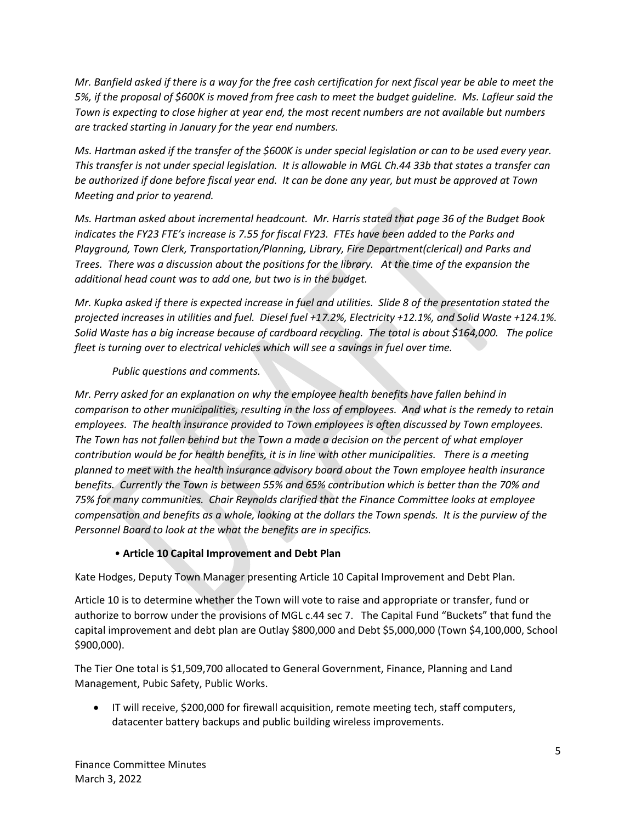*Mr. Banfield asked if there is a way for the free cash certification for next fiscal year be able to meet the 5%, if the proposal of \$600K is moved from free cash to meet the budget guideline. Ms. Lafleur said the Town is expecting to close higher at year end, the most recent numbers are not available but numbers are tracked starting in January for the year end numbers.*

*Ms. Hartman asked if the transfer of the \$600K is under special legislation or can to be used every year. This transfer is not under special legislation. It is allowable in MGL Ch.44 33b that states a transfer can be authorized if done before fiscal year end. It can be done any year, but must be approved at Town Meeting and prior to yearend.* 

*Ms. Hartman asked about incremental headcount. Mr. Harris stated that page 36 of the Budget Book indicates the FY23 FTE's increase is 7.55 for fiscal FY23. FTEs have been added to the Parks and Playground, Town Clerk, Transportation/Planning, Library, Fire Department(clerical) and Parks and Trees. There was a discussion about the positions for the library. At the time of the expansion the additional head count was to add one, but two is in the budget.*

*Mr. Kupka asked if there is expected increase in fuel and utilities. Slide 8 of the presentation stated the projected increases in utilities and fuel. Diesel fuel +17.2%, Electricity +12.1%, and Solid Waste +124.1%. Solid Waste has a big increase because of cardboard recycling. The total is about \$164,000. The police fleet is turning over to electrical vehicles which will see a savings in fuel over time.* 

# *Public questions and comments.*

*Mr. Perry asked for an explanation on why the employee health benefits have fallen behind in comparison to other municipalities, resulting in the loss of employees. And what is the remedy to retain employees. The health insurance provided to Town employees is often discussed by Town employees. The Town has not fallen behind but the Town a made a decision on the percent of what employer contribution would be for health benefits, it is in line with other municipalities. There is a meeting planned to meet with the health insurance advisory board about the Town employee health insurance benefits. Currently the Town is between 55% and 65% contribution which is better than the 70% and 75% for many communities. Chair Reynolds clarified that the Finance Committee looks at employee compensation and benefits as a whole, looking at the dollars the Town spends. It is the purview of the Personnel Board to look at the what the benefits are in specifics.* 

# • **Article 10 Capital Improvement and Debt Plan**

Kate Hodges, Deputy Town Manager presenting Article 10 Capital Improvement and Debt Plan.

Article 10 is to determine whether the Town will vote to raise and appropriate or transfer, fund or authorize to borrow under the provisions of MGL c.44 sec 7. The Capital Fund "Buckets" that fund the capital improvement and debt plan are Outlay \$800,000 and Debt \$5,000,000 (Town \$4,100,000, School \$900,000).

The Tier One total is \$1,509,700 allocated to General Government, Finance, Planning and Land Management, Pubic Safety, Public Works.

• IT will receive, \$200,000 for firewall acquisition, remote meeting tech, staff computers, datacenter battery backups and public building wireless improvements.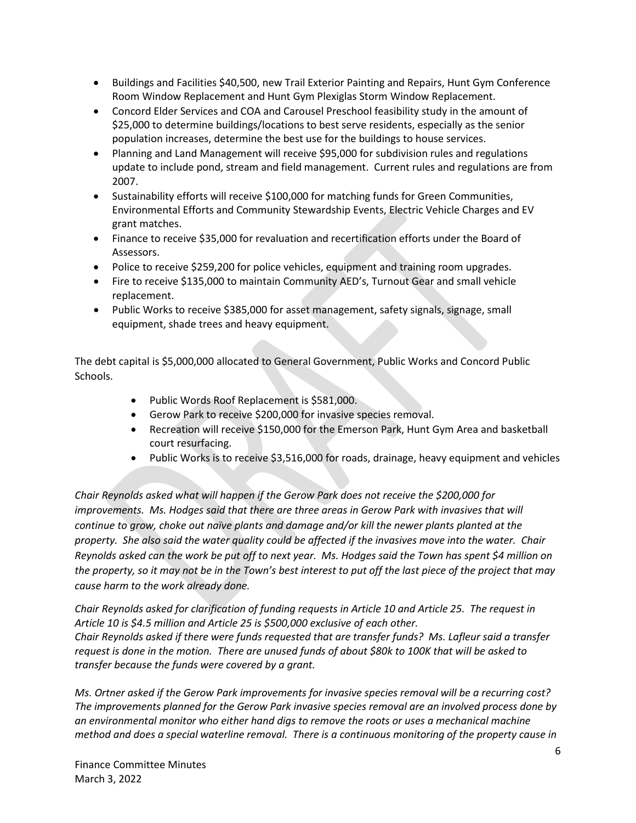- Buildings and Facilities \$40,500, new Trail Exterior Painting and Repairs, Hunt Gym Conference Room Window Replacement and Hunt Gym Plexiglas Storm Window Replacement.
- Concord Elder Services and COA and Carousel Preschool feasibility study in the amount of \$25,000 to determine buildings/locations to best serve residents, especially as the senior population increases, determine the best use for the buildings to house services.
- Planning and Land Management will receive \$95,000 for subdivision rules and regulations update to include pond, stream and field management. Current rules and regulations are from 2007.
- Sustainability efforts will receive \$100,000 for matching funds for Green Communities, Environmental Efforts and Community Stewardship Events, Electric Vehicle Charges and EV grant matches.
- Finance to receive \$35,000 for revaluation and recertification efforts under the Board of Assessors.
- Police to receive \$259,200 for police vehicles, equipment and training room upgrades.
- Fire to receive \$135,000 to maintain Community AED's, Turnout Gear and small vehicle replacement.
- Public Works to receive \$385,000 for asset management, safety signals, signage, small equipment, shade trees and heavy equipment.

The debt capital is \$5,000,000 allocated to General Government, Public Works and Concord Public Schools.

- Public Words Roof Replacement is \$581,000.
- Gerow Park to receive \$200,000 for invasive species removal.
- Recreation will receive \$150,000 for the Emerson Park, Hunt Gym Area and basketball court resurfacing.
- Public Works is to receive \$3,516,000 for roads, drainage, heavy equipment and vehicles

*Chair Reynolds asked what will happen if the Gerow Park does not receive the \$200,000 for improvements. Ms. Hodges said that there are three areas in Gerow Park with invasives that will continue to grow, choke out naïve plants and damage and/or kill the newer plants planted at the property. She also said the water quality could be affected if the invasives move into the water. Chair Reynolds asked can the work be put off to next year. Ms. Hodges said the Town has spent \$4 million on the property, so it may not be in the Town's best interest to put off the last piece of the project that may cause harm to the work already done.* 

*Chair Reynolds asked for clarification of funding requests in Article 10 and Article 25. The request in Article 10 is \$4.5 million and Article 25 is \$500,000 exclusive of each other. Chair Reynolds asked if there were funds requested that are transfer funds? Ms. Lafleur said a transfer request is done in the motion. There are unused funds of about \$80k to 100K that will be asked to transfer because the funds were covered by a grant.* 

*Ms. Ortner asked if the Gerow Park improvements for invasive species removal will be a recurring cost? The improvements planned for the Gerow Park invasive species removal are an involved process done by an environmental monitor who either hand digs to remove the roots or uses a mechanical machine method and does a special waterline removal. There is a continuous monitoring of the property cause in*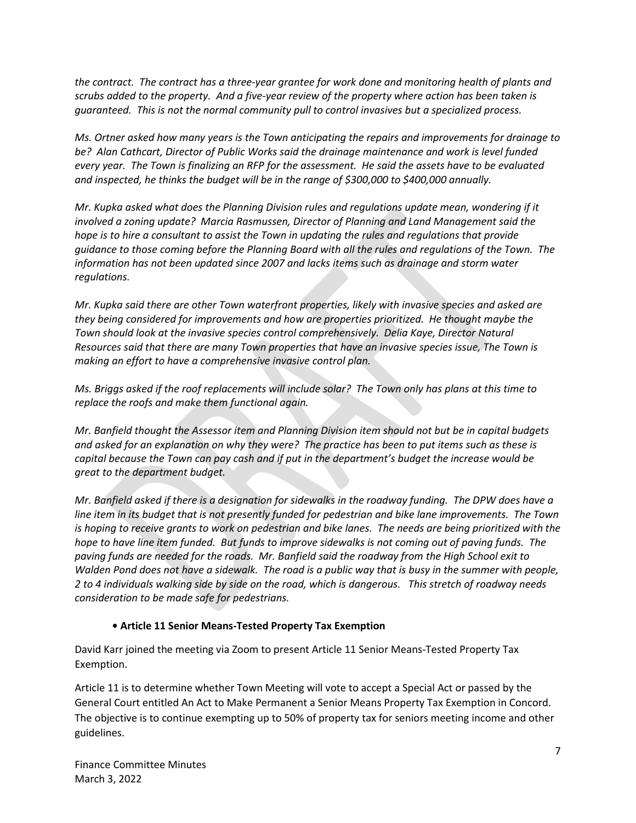*the contract. The contract has a three-year grantee for work done and monitoring health of plants and scrubs added to the property. And a five-year review of the property where action has been taken is guaranteed. This is not the normal community pull to control invasives but a specialized process.*

*Ms. Ortner asked how many years is the Town anticipating the repairs and improvements for drainage to be? Alan Cathcart, Director of Public Works said the drainage maintenance and work is level funded every year. The Town is finalizing an RFP for the assessment. He said the assets have to be evaluated and inspected, he thinks the budget will be in the range of \$300,000 to \$400,000 annually.* 

*Mr. Kupka asked what does the Planning Division rules and regulations update mean, wondering if it involved a zoning update? Marcia Rasmussen, Director of Planning and Land Management said the hope is to hire a consultant to assist the Town in updating the rules and regulations that provide guidance to those coming before the Planning Board with all the rules and regulations of the Town. The information has not been updated since 2007 and lacks items such as drainage and storm water regulations.* 

*Mr. Kupka said there are other Town waterfront properties, likely with invasive species and asked are they being considered for improvements and how are properties prioritized. He thought maybe the Town should look at the invasive species control comprehensively. Delia Kaye, Director Natural Resources said that there are many Town properties that have an invasive species issue, The Town is making an effort to have a comprehensive invasive control plan.*

*Ms. Briggs asked if the roof replacements will include solar? The Town only has plans at this time to replace the roofs and make them functional again.* 

*Mr. Banfield thought the Assessor item and Planning Division item should not but be in capital budgets and asked for an explanation on why they were? The practice has been to put items such as these is capital because the Town can pay cash and if put in the department's budget the increase would be great to the department budget.*

*Mr. Banfield asked if there is a designation for sidewalks in the roadway funding. The DPW does have a line item in its budget that is not presently funded for pedestrian and bike lane improvements. The Town is hoping to receive grants to work on pedestrian and bike lanes. The needs are being prioritized with the hope to have line item funded. But funds to improve sidewalks is not coming out of paving funds. The paving funds are needed for the roads. Mr. Banfield said the roadway from the High School exit to Walden Pond does not have a sidewalk. The road is a public way that is busy in the summer with people, 2 to 4 individuals walking side by side on the road, which is dangerous. This stretch of roadway needs consideration to be made safe for pedestrians.* 

## **• Article 11 Senior Means-Tested Property Tax Exemption**

David Karr joined the meeting via Zoom to present Article 11 Senior Means-Tested Property Tax Exemption.

Article 11 is to determine whether Town Meeting will vote to accept a Special Act or passed by the General Court entitled An Act to Make Permanent a Senior Means Property Tax Exemption in Concord. The objective is to continue exempting up to 50% of property tax for seniors meeting income and other guidelines.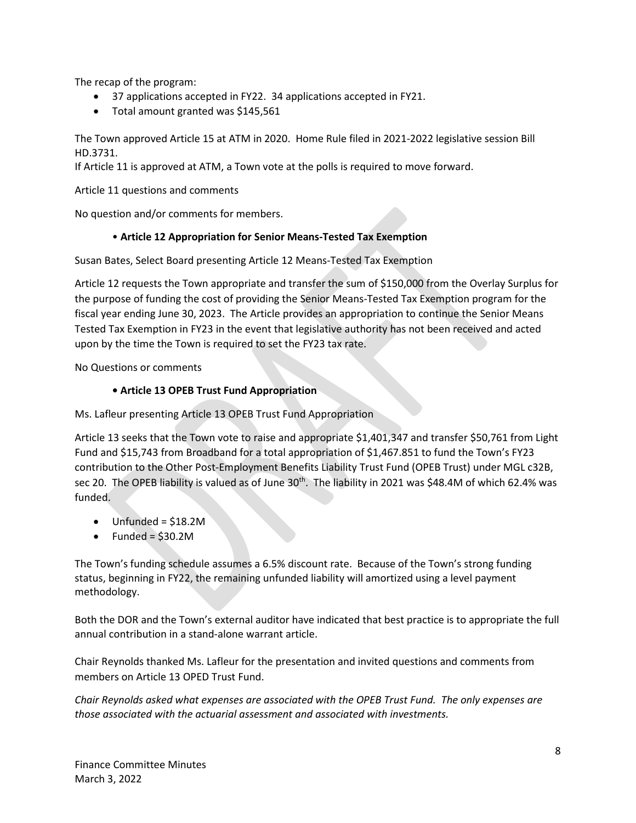The recap of the program:

- 37 applications accepted in FY22. 34 applications accepted in FY21.
- Total amount granted was \$145,561

The Town approved Article 15 at ATM in 2020. Home Rule filed in 2021-2022 legislative session Bill HD.3731.

If Article 11 is approved at ATM, a Town vote at the polls is required to move forward.

Article 11 questions and comments

No question and/or comments for members.

## • **Article 12 Appropriation for Senior Means-Tested Tax Exemption**

Susan Bates, Select Board presenting Article 12 Means-Tested Tax Exemption

Article 12 requests the Town appropriate and transfer the sum of \$150,000 from the Overlay Surplus for the purpose of funding the cost of providing the Senior Means-Tested Tax Exemption program for the fiscal year ending June 30, 2023. The Article provides an appropriation to continue the Senior Means Tested Tax Exemption in FY23 in the event that legislative authority has not been received and acted upon by the time the Town is required to set the FY23 tax rate.

No Questions or comments

## **• Article 13 OPEB Trust Fund Appropriation**

Ms. Lafleur presenting Article 13 OPEB Trust Fund Appropriation

Article 13 seeks that the Town vote to raise and appropriate \$1,401,347 and transfer \$50,761 from Light Fund and \$15,743 from Broadband for a total appropriation of \$1,467.851 to fund the Town's FY23 contribution to the Other Post-Employment Benefits Liability Trust Fund (OPEB Trust) under MGL c32B, sec 20. The OPEB liability is valued as of June 30<sup>th</sup>. The liability in 2021 was \$48.4M of which 62.4% was funded.

- Unfunded = \$18.2M
- Funded =  $$30.2M$

The Town's funding schedule assumes a 6.5% discount rate. Because of the Town's strong funding status, beginning in FY22, the remaining unfunded liability will amortized using a level payment methodology.

Both the DOR and the Town's external auditor have indicated that best practice is to appropriate the full annual contribution in a stand-alone warrant article.

Chair Reynolds thanked Ms. Lafleur for the presentation and invited questions and comments from members on Article 13 OPED Trust Fund.

*Chair Reynolds asked what expenses are associated with the OPEB Trust Fund. The only expenses are those associated with the actuarial assessment and associated with investments.*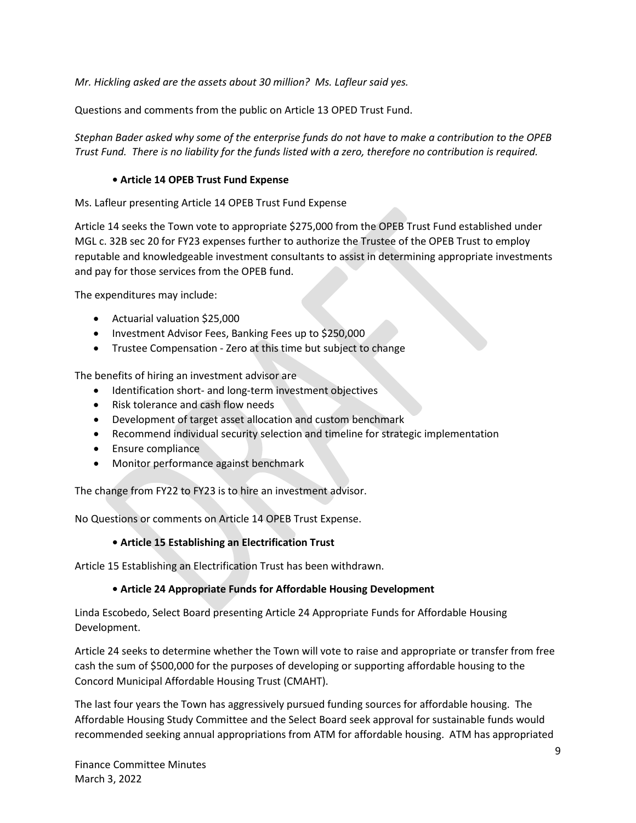*Mr. Hickling asked are the assets about 30 million? Ms. Lafleur said yes.* 

Questions and comments from the public on Article 13 OPED Trust Fund.

*Stephan Bader asked why some of the enterprise funds do not have to make a contribution to the OPEB Trust Fund. There is no liability for the funds listed with a zero, therefore no contribution is required.* 

#### **• Article 14 OPEB Trust Fund Expense**

Ms. Lafleur presenting Article 14 OPEB Trust Fund Expense

Article 14 seeks the Town vote to appropriate \$275,000 from the OPEB Trust Fund established under MGL c. 32B sec 20 for FY23 expenses further to authorize the Trustee of the OPEB Trust to employ reputable and knowledgeable investment consultants to assist in determining appropriate investments and pay for those services from the OPEB fund.

The expenditures may include:

- Actuarial valuation \$25,000
- Investment Advisor Fees, Banking Fees up to \$250,000
- Trustee Compensation Zero at this time but subject to change

The benefits of hiring an investment advisor are

- Identification short- and long-term investment objectives
- Risk tolerance and cash flow needs
- Development of target asset allocation and custom benchmark
- Recommend individual security selection and timeline for strategic implementation
- Ensure compliance
- Monitor performance against benchmark

The change from FY22 to FY23 is to hire an investment advisor.

No Questions or comments on Article 14 OPEB Trust Expense.

#### **• Article 15 Establishing an Electrification Trust**

Article 15 Establishing an Electrification Trust has been withdrawn.

## **• Article 24 Appropriate Funds for Affordable Housing Development**

Linda Escobedo, Select Board presenting Article 24 Appropriate Funds for Affordable Housing Development.

Article 24 seeks to determine whether the Town will vote to raise and appropriate or transfer from free cash the sum of \$500,000 for the purposes of developing or supporting affordable housing to the Concord Municipal Affordable Housing Trust (CMAHT).

The last four years the Town has aggressively pursued funding sources for affordable housing. The Affordable Housing Study Committee and the Select Board seek approval for sustainable funds would recommended seeking annual appropriations from ATM for affordable housing. ATM has appropriated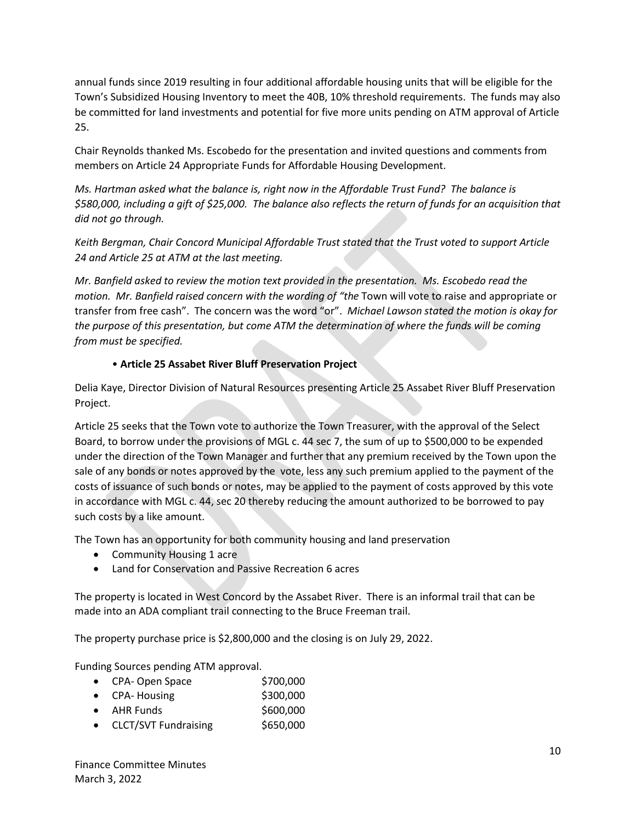annual funds since 2019 resulting in four additional affordable housing units that will be eligible for the Town's Subsidized Housing Inventory to meet the 40B, 10% threshold requirements. The funds may also be committed for land investments and potential for five more units pending on ATM approval of Article 25.

Chair Reynolds thanked Ms. Escobedo for the presentation and invited questions and comments from members on Article 24 Appropriate Funds for Affordable Housing Development.

*Ms. Hartman asked what the balance is, right now in the Affordable Trust Fund? The balance is \$580,000, including a gift of \$25,000. The balance also reflects the return of funds for an acquisition that did not go through.* 

*Keith Bergman, Chair Concord Municipal Affordable Trust stated that the Trust voted to support Article 24 and Article 25 at ATM at the last meeting.*

*Mr. Banfield asked to review the motion text provided in the presentation. Ms. Escobedo read the motion. Mr. Banfield raised concern with the wording of "the* Town will vote to raise and appropriate or transfer from free cash". The concern was the word "or". *Michael Lawson stated the motion is okay for the purpose of this presentation, but come ATM the determination of where the funds will be coming from must be specified.* 

## • **Article 25 Assabet River Bluff Preservation Project**

Delia Kaye, Director Division of Natural Resources presenting Article 25 Assabet River Bluff Preservation Project.

Article 25 seeks that the Town vote to authorize the Town Treasurer, with the approval of the Select Board, to borrow under the provisions of MGL c. 44 sec 7, the sum of up to \$500,000 to be expended under the direction of the Town Manager and further that any premium received by the Town upon the sale of any bonds or notes approved by the vote, less any such premium applied to the payment of the costs of issuance of such bonds or notes, may be applied to the payment of costs approved by this vote in accordance with MGL c. 44, sec 20 thereby reducing the amount authorized to be borrowed to pay such costs by a like amount.

The Town has an opportunity for both community housing and land preservation

- Community Housing 1 acre
- Land for Conservation and Passive Recreation 6 acres

The property is located in West Concord by the Assabet River. There is an informal trail that can be made into an ADA compliant trail connecting to the Bruce Freeman trail.

The property purchase price is \$2,800,000 and the closing is on July 29, 2022.

Funding Sources pending ATM approval.

|  | CPA-Open Space | \$700,000 |
|--|----------------|-----------|
|--|----------------|-----------|

- $\bullet$  CPA-Housing  $\bullet$  \$300,000
- $\bullet$  AHR Funds  $$600,000$
- CLCT/SVT Fundraising \$650,000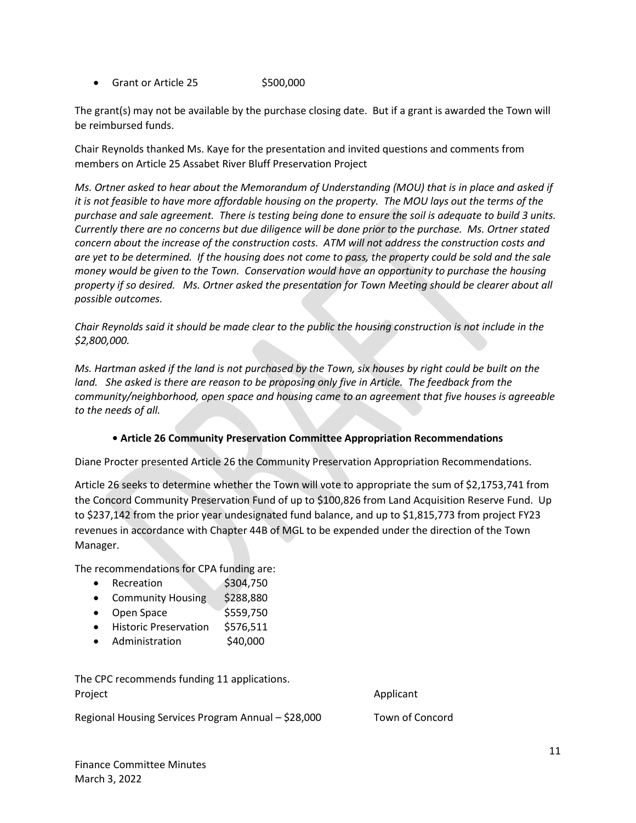• Grant or Article  $25$  \$500,000

The grant(s) may not be available by the purchase closing date. But if a grant is awarded the Town will be reimbursed funds.

Chair Reynolds thanked Ms. Kaye for the presentation and invited questions and comments from members on Article 25 Assabet River Bluff Preservation Project

*Ms. Ortner asked to hear about the Memorandum of Understanding (MOU) that is in place and asked if it is not feasible to have more affordable housing on the property. The MOU lays out the terms of the purchase and sale agreement. There is testing being done to ensure the soil is adequate to build 3 units. Currently there are no concerns but due diligence will be done prior to the purchase. Ms. Ortner stated concern about the increase of the construction costs. ATM will not address the construction costs and are yet to be determined. If the housing does not come to pass, the property could be sold and the sale money would be given to the Town. Conservation would have an opportunity to purchase the housing property if so desired. Ms. Ortner asked the presentation for Town Meeting should be clearer about all possible outcomes.*

*Chair Reynolds said it should be made clear to the public the housing construction is not include in the \$2,800,000.* 

*Ms. Hartman asked if the land is not purchased by the Town, six houses by right could be built on the*  land. She asked is there are reason to be proposing only five in Article. The feedback from the *community/neighborhood, open space and housing came to an agreement that five houses is agreeable to the needs of all.* 

## **• Article 26 Community Preservation Committee Appropriation Recommendations**

Diane Procter presented Article 26 the Community Preservation Appropriation Recommendations.

Article 26 seeks to determine whether the Town will vote to appropriate the sum of \$2,1753,741 from the Concord Community Preservation Fund of up to \$100,826 from Land Acquisition Reserve Fund. Up to \$237,142 from the prior year undesignated fund balance, and up to \$1,815,773 from project FY23 revenues in accordance with Chapter 44B of MGL to be expended under the direction of the Town Manager.

The recommendations for CPA funding are:

- Recreation \$304,750
- Community Housing \$288,880
- Open Space \$559,750
- Historic Preservation \$576,511
- Administration \$40,000

The CPC recommends funding 11 applications. Project **Applicant** 

Regional Housing Services Program Annual – \$28,000 Town of Concord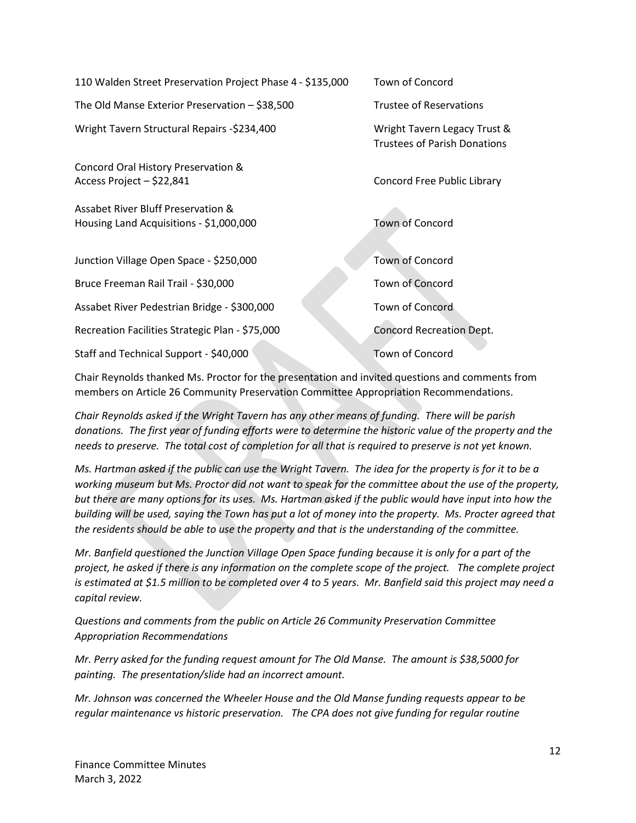110 Walden Street Preservation Project Phase 4 - \$135,000 Town of Concord

The Old Manse Exterior Preservation – \$38,500 Trustee of Reservations

Wright Tavern Structural Repairs -\$234,400 Wright Tavern Legacy Trust &

Concord Oral History Preservation & Access Project – \$22,841 Concord Free Public Library

Assabet River Bluff Preservation & Housing Land Acquisitions - \$1,000,000 Town of Concord

Junction Village Open Space - \$250,000 Town of Concord

Bruce Freeman Rail Trail - \$30,000 Town of Concord

Assabet River Pedestrian Bridge - \$300,000 Town of Concord

Recreation Facilities Strategic Plan - \$75,000 Concord Recreation Dept.

Staff and Technical Support - \$40,000 Town of Concord

Trustees of Parish Donations

Chair Reynolds thanked Ms. Proctor for the presentation and invited questions and comments from members on Article 26 Community Preservation Committee Appropriation Recommendations.

*Chair Reynolds asked if the Wright Tavern has any other means of funding. There will be parish donations. The first year of funding efforts were to determine the historic value of the property and the needs to preserve. The total cost of completion for all that is required to preserve is not yet known.* 

*Ms. Hartman asked if the public can use the Wright Tavern. The idea for the property is for it to be a working museum but Ms. Proctor did not want to speak for the committee about the use of the property, but there are many options for its uses. Ms. Hartman asked if the public would have input into how the building will be used, saying the Town has put a lot of money into the property. Ms. Procter agreed that the residents should be able to use the property and that is the understanding of the committee.* 

*Mr. Banfield questioned the Junction Village Open Space funding because it is only for a part of the project, he asked if there is any information on the complete scope of the project. The complete project is estimated at \$1.5 million to be completed over 4 to 5 years. Mr. Banfield said this project may need a capital review.*

*Questions and comments from the public on Article 26 Community Preservation Committee Appropriation Recommendations*

*Mr. Perry asked for the funding request amount for The Old Manse. The amount is \$38,5000 for painting. The presentation/slide had an incorrect amount.*

*Mr. Johnson was concerned the Wheeler House and the Old Manse funding requests appear to be regular maintenance vs historic preservation. The CPA does not give funding for regular routine*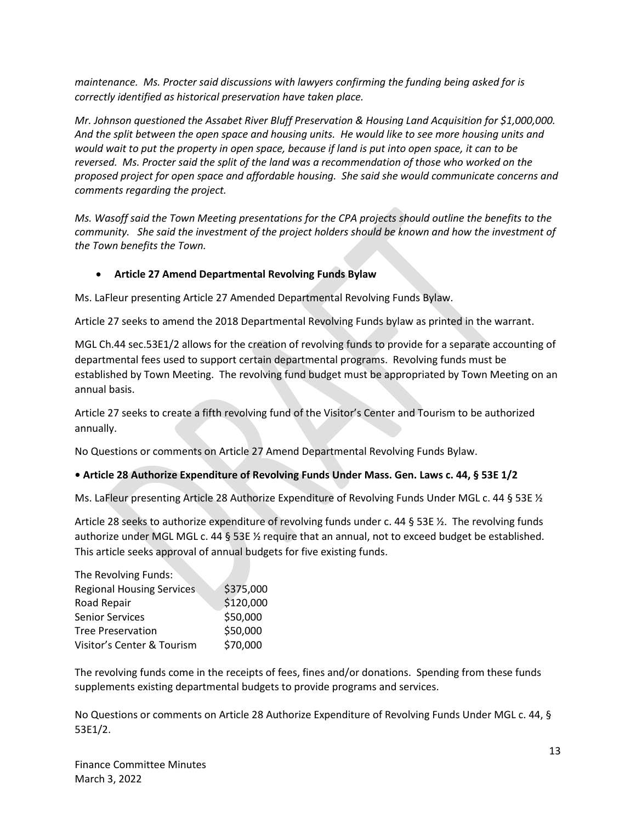*maintenance. Ms. Procter said discussions with lawyers confirming the funding being asked for is correctly identified as historical preservation have taken place.*

*Mr. Johnson questioned the Assabet River Bluff Preservation & Housing Land Acquisition for \$1,000,000. And the split between the open space and housing units. He would like to see more housing units and would wait to put the property in open space, because if land is put into open space, it can to be reversed. Ms. Procter said the split of the land was a recommendation of those who worked on the proposed project for open space and affordable housing. She said she would communicate concerns and comments regarding the project.*

*Ms. Wasoff said the Town Meeting presentations for the CPA projects should outline the benefits to the community. She said the investment of the project holders should be known and how the investment of the Town benefits the Town.*

## • **Article 27 Amend Departmental Revolving Funds Bylaw**

Ms. LaFleur presenting Article 27 Amended Departmental Revolving Funds Bylaw.

Article 27 seeks to amend the 2018 Departmental Revolving Funds bylaw as printed in the warrant.

MGL Ch.44 sec.53E1/2 allows for the creation of revolving funds to provide for a separate accounting of departmental fees used to support certain departmental programs. Revolving funds must be established by Town Meeting. The revolving fund budget must be appropriated by Town Meeting on an annual basis.

Article 27 seeks to create a fifth revolving fund of the Visitor's Center and Tourism to be authorized annually.

No Questions or comments on Article 27 Amend Departmental Revolving Funds Bylaw.

#### **• Article 28 Authorize Expenditure of Revolving Funds Under Mass. Gen. Laws c. 44, § 53E 1/2**

Ms. LaFleur presenting Article 28 Authorize Expenditure of Revolving Funds Under MGL c. 44 § 53E ½

Article 28 seeks to authorize expenditure of revolving funds under c. 44 § 53E ½. The revolving funds authorize under MGL MGL c. 44 § 53E 1/2 require that an annual, not to exceed budget be established. This article seeks approval of annual budgets for five existing funds.

| \$375,000 |
|-----------|
| \$120,000 |
| \$50,000  |
| \$50,000  |
| \$70,000  |
|           |

The revolving funds come in the receipts of fees, fines and/or donations. Spending from these funds supplements existing departmental budgets to provide programs and services.

No Questions or comments on Article 28 Authorize Expenditure of Revolving Funds Under MGL c. 44, § 53E1/2.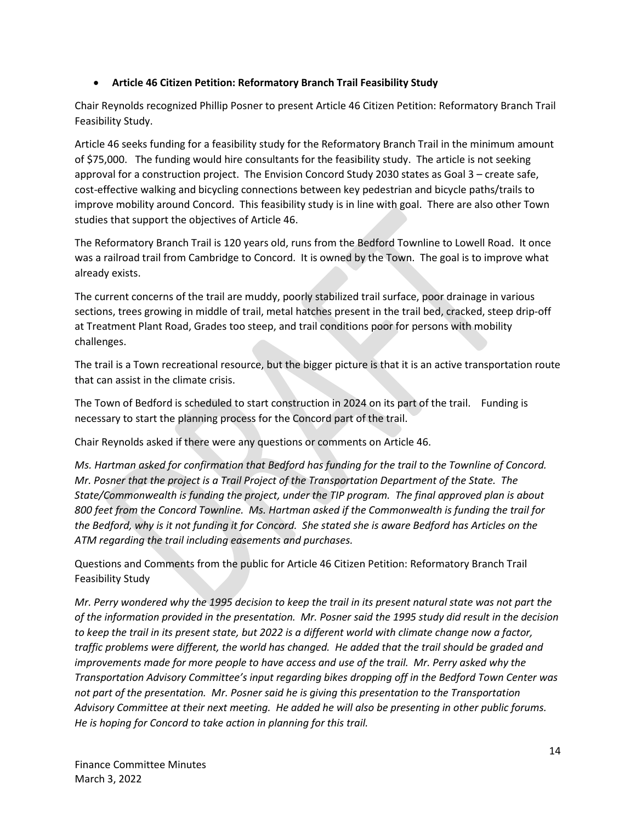## • **Article 46 Citizen Petition: Reformatory Branch Trail Feasibility Study**

Chair Reynolds recognized Phillip Posner to present Article 46 Citizen Petition: Reformatory Branch Trail Feasibility Study.

Article 46 seeks funding for a feasibility study for the Reformatory Branch Trail in the minimum amount of \$75,000. The funding would hire consultants for the feasibility study. The article is not seeking approval for a construction project. The Envision Concord Study 2030 states as Goal 3 – create safe, cost-effective walking and bicycling connections between key pedestrian and bicycle paths/trails to improve mobility around Concord. This feasibility study is in line with goal. There are also other Town studies that support the objectives of Article 46.

The Reformatory Branch Trail is 120 years old, runs from the Bedford Townline to Lowell Road. It once was a railroad trail from Cambridge to Concord. It is owned by the Town. The goal is to improve what already exists.

The current concerns of the trail are muddy, poorly stabilized trail surface, poor drainage in various sections, trees growing in middle of trail, metal hatches present in the trail bed, cracked, steep drip-off at Treatment Plant Road, Grades too steep, and trail conditions poor for persons with mobility challenges.

The trail is a Town recreational resource, but the bigger picture is that it is an active transportation route that can assist in the climate crisis.

The Town of Bedford is scheduled to start construction in 2024 on its part of the trail. Funding is necessary to start the planning process for the Concord part of the trail.

Chair Reynolds asked if there were any questions or comments on Article 46.

*Ms. Hartman asked for confirmation that Bedford has funding for the trail to the Townline of Concord. Mr. Posner that the project is a Trail Project of the Transportation Department of the State. The State/Commonwealth is funding the project, under the TIP program. The final approved plan is about 800 feet from the Concord Townline. Ms. Hartman asked if the Commonwealth is funding the trail for the Bedford, why is it not funding it for Concord. She stated she is aware Bedford has Articles on the ATM regarding the trail including easements and purchases.* 

Questions and Comments from the public for Article 46 Citizen Petition: Reformatory Branch Trail Feasibility Study

*Mr. Perry wondered why the 1995 decision to keep the trail in its present natural state was not part the of the information provided in the presentation. Mr. Posner said the 1995 study did result in the decision to keep the trail in its present state, but 2022 is a different world with climate change now a factor, traffic problems were different, the world has changed. He added that the trail should be graded and improvements made for more people to have access and use of the trail. Mr. Perry asked why the Transportation Advisory Committee's input regarding bikes dropping off in the Bedford Town Center was not part of the presentation. Mr. Posner said he is giving this presentation to the Transportation Advisory Committee at their next meeting. He added he will also be presenting in other public forums. He is hoping for Concord to take action in planning for this trail.*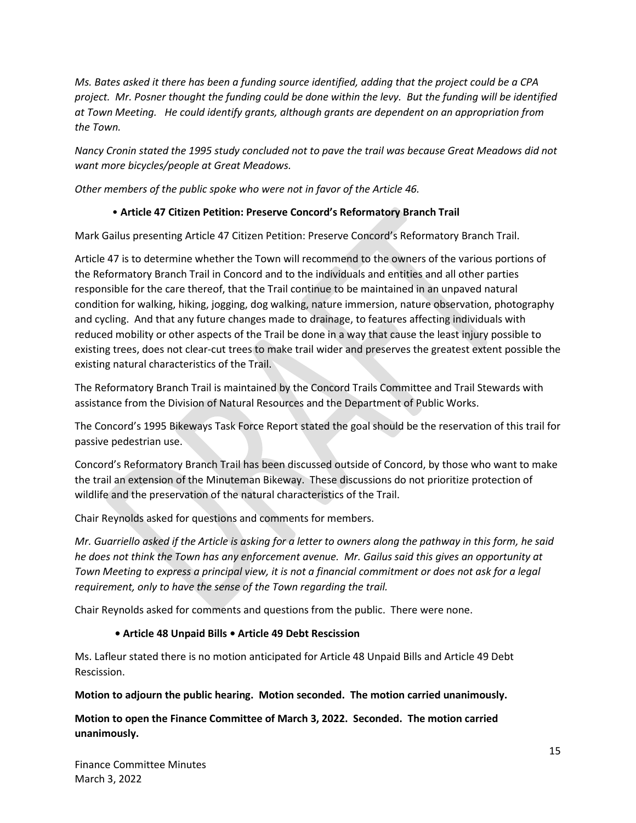*Ms. Bates asked it there has been a funding source identified, adding that the project could be a CPA project. Mr. Posner thought the funding could be done within the levy. But the funding will be identified at Town Meeting. He could identify grants, although grants are dependent on an appropriation from the Town.* 

*Nancy Cronin stated the 1995 study concluded not to pave the trail was because Great Meadows did not want more bicycles/people at Great Meadows.* 

*Other members of the public spoke who were not in favor of the Article 46.*

## • **Article 47 Citizen Petition: Preserve Concord's Reformatory Branch Trail**

Mark Gailus presenting Article 47 Citizen Petition: Preserve Concord's Reformatory Branch Trail.

Article 47 is to determine whether the Town will recommend to the owners of the various portions of the Reformatory Branch Trail in Concord and to the individuals and entities and all other parties responsible for the care thereof, that the Trail continue to be maintained in an unpaved natural condition for walking, hiking, jogging, dog walking, nature immersion, nature observation, photography and cycling. And that any future changes made to drainage, to features affecting individuals with reduced mobility or other aspects of the Trail be done in a way that cause the least injury possible to existing trees, does not clear-cut trees to make trail wider and preserves the greatest extent possible the existing natural characteristics of the Trail.

The Reformatory Branch Trail is maintained by the Concord Trails Committee and Trail Stewards with assistance from the Division of Natural Resources and the Department of Public Works.

The Concord's 1995 Bikeways Task Force Report stated the goal should be the reservation of this trail for passive pedestrian use.

Concord's Reformatory Branch Trail has been discussed outside of Concord, by those who want to make the trail an extension of the Minuteman Bikeway. These discussions do not prioritize protection of wildlife and the preservation of the natural characteristics of the Trail.

Chair Reynolds asked for questions and comments for members.

*Mr. Guarriello asked if the Article is asking for a letter to owners along the pathway in this form, he said he does not think the Town has any enforcement avenue. Mr. Gailus said this gives an opportunity at Town Meeting to express a principal view, it is not a financial commitment or does not ask for a legal requirement, only to have the sense of the Town regarding the trail.*

Chair Reynolds asked for comments and questions from the public. There were none.

#### **• Article 48 Unpaid Bills • Article 49 Debt Rescission**

Ms. Lafleur stated there is no motion anticipated for Article 48 Unpaid Bills and Article 49 Debt Rescission.

**Motion to adjourn the public hearing. Motion seconded. The motion carried unanimously.** 

**Motion to open the Finance Committee of March 3, 2022. Seconded. The motion carried unanimously.**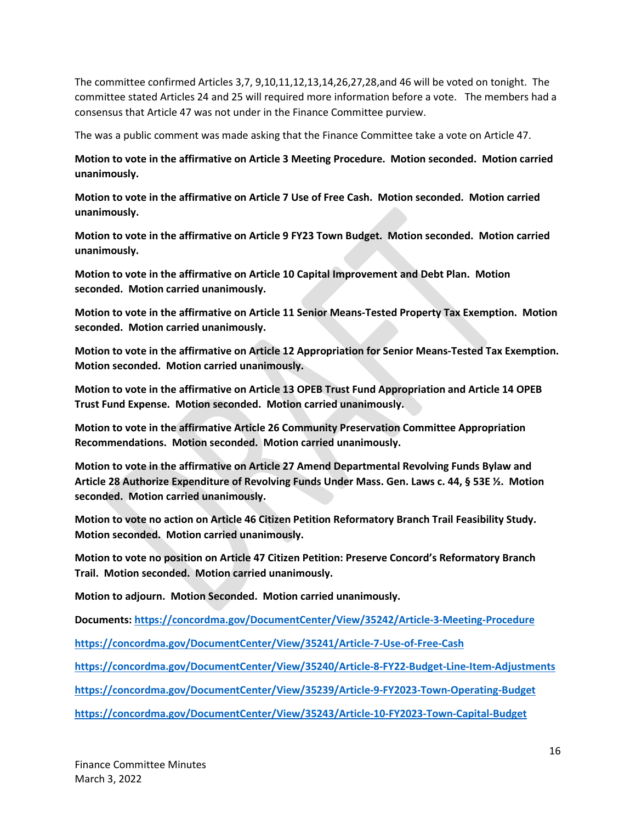The committee confirmed Articles 3,7, 9,10,11,12,13,14,26,27,28,and 46 will be voted on tonight. The committee stated Articles 24 and 25 will required more information before a vote. The members had a consensus that Article 47 was not under in the Finance Committee purview.

The was a public comment was made asking that the Finance Committee take a vote on Article 47.

**Motion to vote in the affirmative on Article 3 Meeting Procedure. Motion seconded. Motion carried unanimously.** 

**Motion to vote in the affirmative on Article 7 Use of Free Cash. Motion seconded. Motion carried unanimously.** 

**Motion to vote in the affirmative on Article 9 FY23 Town Budget. Motion seconded. Motion carried unanimously.**

**Motion to vote in the affirmative on Article 10 Capital Improvement and Debt Plan. Motion seconded. Motion carried unanimously.** 

**Motion to vote in the affirmative on Article 11 Senior Means-Tested Property Tax Exemption. Motion seconded. Motion carried unanimously.**

**Motion to vote in the affirmative on Article 12 Appropriation for Senior Means-Tested Tax Exemption. Motion seconded. Motion carried unanimously.** 

**Motion to vote in the affirmative on Article 13 OPEB Trust Fund Appropriation and Article 14 OPEB Trust Fund Expense. Motion seconded. Motion carried unanimously.**

**Motion to vote in the affirmative Article 26 Community Preservation Committee Appropriation Recommendations. Motion seconded. Motion carried unanimously.**

**Motion to vote in the affirmative on Article 27 Amend Departmental Revolving Funds Bylaw and Article 28 Authorize Expenditure of Revolving Funds Under Mass. Gen. Laws c. 44, § 53E ½. Motion seconded. Motion carried unanimously.**

**Motion to vote no action on Article 46 Citizen Petition Reformatory Branch Trail Feasibility Study. Motion seconded. Motion carried unanimously.** 

**Motion to vote no position on Article 47 Citizen Petition: Preserve Concord's Reformatory Branch Trail. Motion seconded. Motion carried unanimously.**

**Motion to adjourn. Motion Seconded. Motion carried unanimously.** 

**Documents[: https://concordma.gov/DocumentCenter/View/35242/Article-3-Meeting-Procedure](https://concordma.gov/DocumentCenter/View/35242/Article-3-Meeting-Procedure)**

**<https://concordma.gov/DocumentCenter/View/35241/Article-7-Use-of-Free-Cash>**

**<https://concordma.gov/DocumentCenter/View/35240/Article-8-FY22-Budget-Line-Item-Adjustments>**

**<https://concordma.gov/DocumentCenter/View/35239/Article-9-FY2023-Town-Operating-Budget>**

**<https://concordma.gov/DocumentCenter/View/35243/Article-10-FY2023-Town-Capital-Budget>**